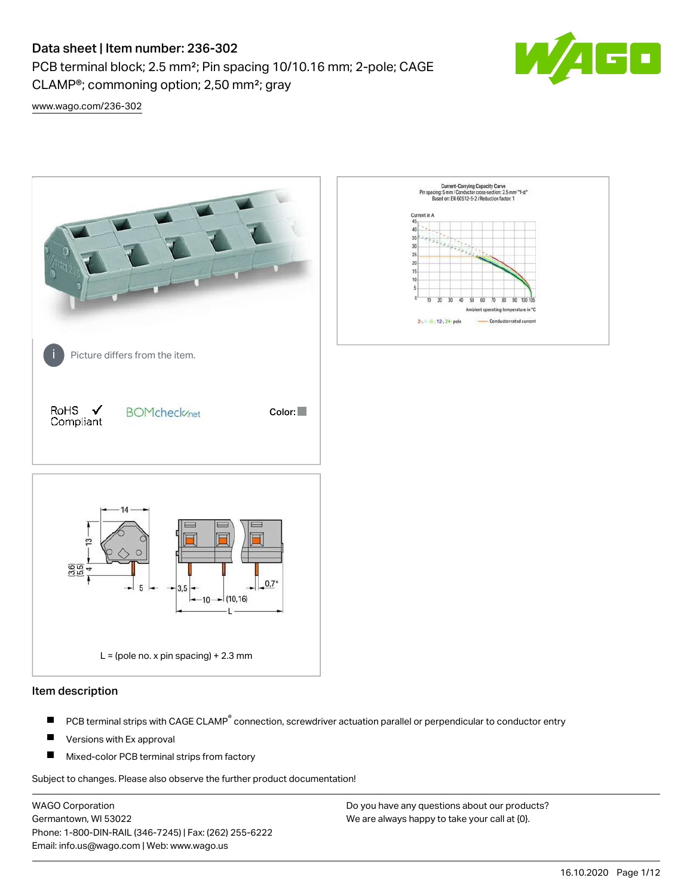CLAMP®; commoning option; 2,50 mm²; gray

PCB terminal block; 2.5 mm²; Pin spacing 10/10.16 mm; 2-pole; CAGE



[www.wago.com/236-302](http://www.wago.com/236-302)



#### Item description

- PCB terminal strips with CAGE CLAMP<sup>®</sup> connection, screwdriver actuation parallel or perpendicular to conductor entry П
- П Versions with Ex approval
- П Mixed-color PCB terminal strips from factory

Subject to changes. Please also observe the further product documentation!

WAGO Corporation Germantown, WI 53022 Phone: 1-800-DIN-RAIL (346-7245) | Fax: (262) 255-6222 Email: info.us@wago.com | Web: www.wago.us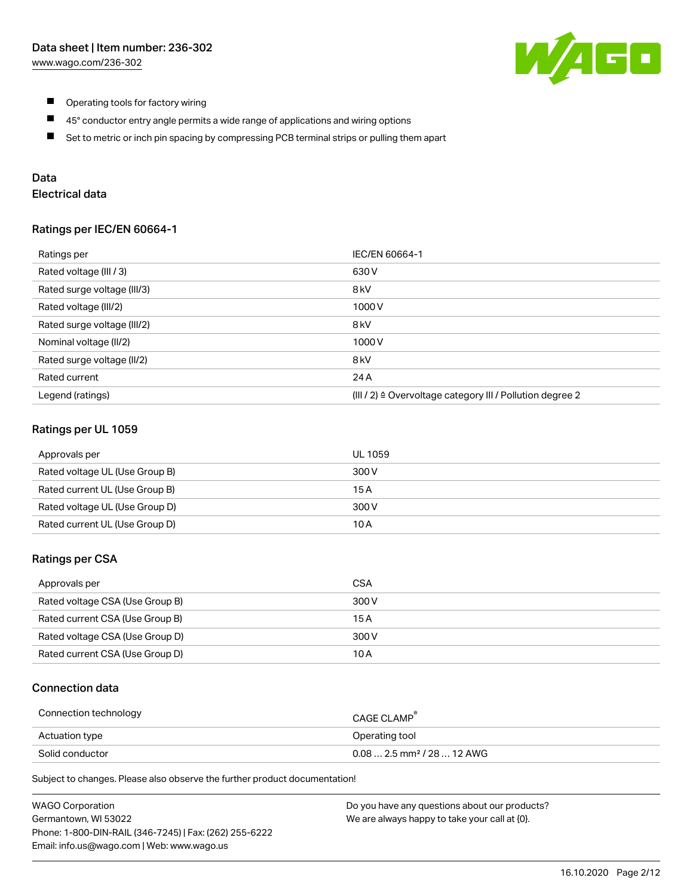

- $\blacksquare$ Operating tools for factory wiring
- $\blacksquare$ 45° conductor entry angle permits a wide range of applications and wiring options
- $\blacksquare$ Set to metric or inch pin spacing by compressing PCB terminal strips or pulling them apart

### Data

## Electrical data

#### Ratings per IEC/EN 60664-1

| Ratings per                 | IEC/EN 60664-1                                                        |
|-----------------------------|-----------------------------------------------------------------------|
| Rated voltage (III / 3)     | 630 V                                                                 |
| Rated surge voltage (III/3) | 8 <sub>kV</sub>                                                       |
| Rated voltage (III/2)       | 1000V                                                                 |
| Rated surge voltage (III/2) | 8 <sub>kV</sub>                                                       |
| Nominal voltage (II/2)      | 1000V                                                                 |
| Rated surge voltage (II/2)  | 8 <sub>kV</sub>                                                       |
| Rated current               | 24 A                                                                  |
| Legend (ratings)            | $(III / 2)$ $\triangle$ Overvoltage category III / Pollution degree 2 |

#### Ratings per UL 1059

| Approvals per                  | UL 1059 |
|--------------------------------|---------|
| Rated voltage UL (Use Group B) | 300 V   |
| Rated current UL (Use Group B) | 15 A    |
| Rated voltage UL (Use Group D) | 300 V   |
| Rated current UL (Use Group D) | 10 A    |

#### Ratings per CSA

| Approvals per                   | CSA   |
|---------------------------------|-------|
| Rated voltage CSA (Use Group B) | 300 V |
| Rated current CSA (Use Group B) | 15 A  |
| Rated voltage CSA (Use Group D) | 300 V |
| Rated current CSA (Use Group D) | 10 A  |

### Connection data

| Connection technology | CAGE CLAMP                              |
|-----------------------|-----------------------------------------|
| Actuation type        | Operating tool                          |
| Solid conductor       | $0.08$ 2.5 mm <sup>2</sup> / 28  12 AWG |

Subject to changes. Please also observe the further product documentation!

| <b>WAGO Corporation</b>                                | Do you have any questions about our products? |
|--------------------------------------------------------|-----------------------------------------------|
| Germantown, WI 53022                                   | We are always happy to take your call at {0}. |
| Phone: 1-800-DIN-RAIL (346-7245)   Fax: (262) 255-6222 |                                               |
| Email: info.us@wago.com   Web: www.wago.us             |                                               |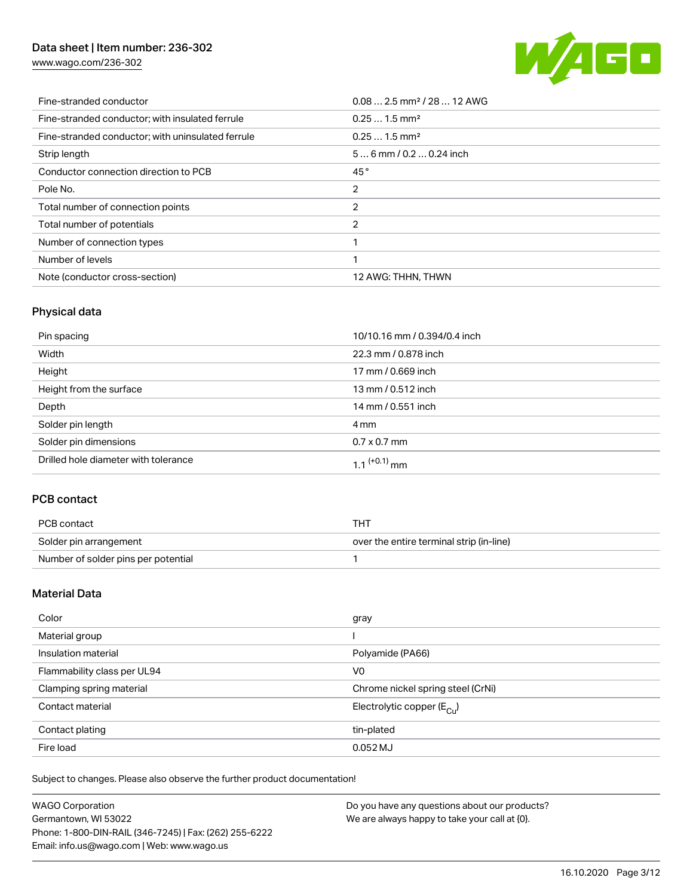[www.wago.com/236-302](http://www.wago.com/236-302)



| Fine-stranded conductor                           | $0.08$ 2.5 mm <sup>2</sup> / 28  12 AWG |
|---------------------------------------------------|-----------------------------------------|
| Fine-stranded conductor; with insulated ferrule   | $0.251.5$ mm <sup>2</sup>               |
| Fine-stranded conductor; with uninsulated ferrule | $0.251.5$ mm <sup>2</sup>               |
| Strip length                                      | $56$ mm / 0.2  0.24 inch                |
| Conductor connection direction to PCB             | 45°                                     |
| Pole No.                                          | 2                                       |
| Total number of connection points                 | 2                                       |
| Total number of potentials                        | 2                                       |
| Number of connection types                        |                                         |
| Number of levels                                  |                                         |
| Note (conductor cross-section)                    | 12 AWG: THHN, THWN                      |

## Physical data

| Pin spacing                          | 10/10.16 mm / 0.394/0.4 inch |
|--------------------------------------|------------------------------|
| Width                                | 22.3 mm / 0.878 inch         |
| Height                               | 17 mm / 0.669 inch           |
| Height from the surface              | 13 mm / 0.512 inch           |
| Depth                                | 14 mm / 0.551 inch           |
| Solder pin length                    | 4 mm                         |
| Solder pin dimensions                | $0.7 \times 0.7$ mm          |
| Drilled hole diameter with tolerance | $1.1$ <sup>(+0.1)</sup> mm   |

## PCB contact

| PCB contact                         | тнт                                      |
|-------------------------------------|------------------------------------------|
| Solder pin arrangement              | over the entire terminal strip (in-line) |
| Number of solder pins per potential |                                          |

## Material Data

| Color                       | gray                                    |
|-----------------------------|-----------------------------------------|
| Material group              |                                         |
| Insulation material         | Polyamide (PA66)                        |
| Flammability class per UL94 | V <sub>0</sub>                          |
| Clamping spring material    | Chrome nickel spring steel (CrNi)       |
| Contact material            | Electrolytic copper ( $E_{\text{Cu}}$ ) |
| Contact plating             | tin-plated                              |
| Fire load                   | $0.052$ MJ                              |

Subject to changes. Please also observe the further product documentation!

| <b>WAGO Corporation</b>                                | Do you have any questions about our products? |
|--------------------------------------------------------|-----------------------------------------------|
| Germantown, WI 53022                                   | We are always happy to take your call at {0}. |
| Phone: 1-800-DIN-RAIL (346-7245)   Fax: (262) 255-6222 |                                               |
| Email: info.us@wago.com   Web: www.wago.us             |                                               |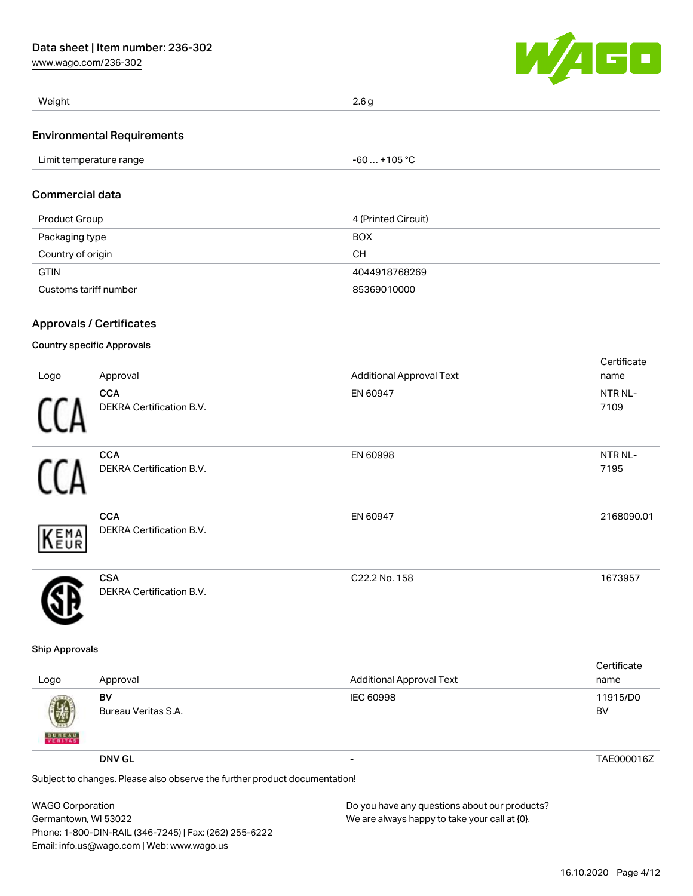[www.wago.com/236-302](http://www.wago.com/236-302)



| Weight                            | 2.6 g |
|-----------------------------------|-------|
| <b>Environmental Requirements</b> |       |

| 105 °C<br>imit<br>rature range<br>mner<br>-- |  |
|----------------------------------------------|--|
|----------------------------------------------|--|

## Commercial data

| Product Group         | 4 (Printed Circuit) |
|-----------------------|---------------------|
| Packaging type        | <b>BOX</b>          |
| Country of origin     | CН                  |
| <b>GTIN</b>           | 4044918768269       |
| Customs tariff number | 85369010000         |

### Approvals / Certificates

### Country specific Approvals

|      |                                               |                                 | Certificate     |
|------|-----------------------------------------------|---------------------------------|-----------------|
| Logo | Approval                                      | <b>Additional Approval Text</b> | name            |
| 11   | <b>CCA</b><br>DEKRA Certification B.V.        | EN 60947                        | NTR NL-<br>7109 |
| ſ1   | <b>CCA</b><br><b>DEKRA Certification B.V.</b> | EN 60998                        | NTR NL-<br>7195 |
| KEMA | <b>CCA</b><br><b>DEKRA Certification B.V.</b> | EN 60947                        | 2168090.01      |
|      | <b>CSA</b><br><b>DEKRA Certification B.V.</b> | C22.2 No. 158                   | 1673957         |

#### Ship Approvals

| Logo                                                                       | Approval                  | <b>Additional Approval Text</b> | Certificate<br>name |
|----------------------------------------------------------------------------|---------------------------|---------------------------------|---------------------|
| 嚩<br><b>BUREAU</b>                                                         | BV<br>Bureau Veritas S.A. | <b>IEC 60998</b>                | 11915/D0<br>BV      |
|                                                                            | <b>DNV GL</b>             |                                 | TAE000016Z          |
| Subject to changes. Please also observe the further product documentation! |                           |                                 |                     |

WAGO Corporation Germantown, WI 53022 Phone: 1-800-DIN-RAIL (346-7245) | Fax: (262) 255-6222 Email: info.us@wago.com | Web: www.wago.us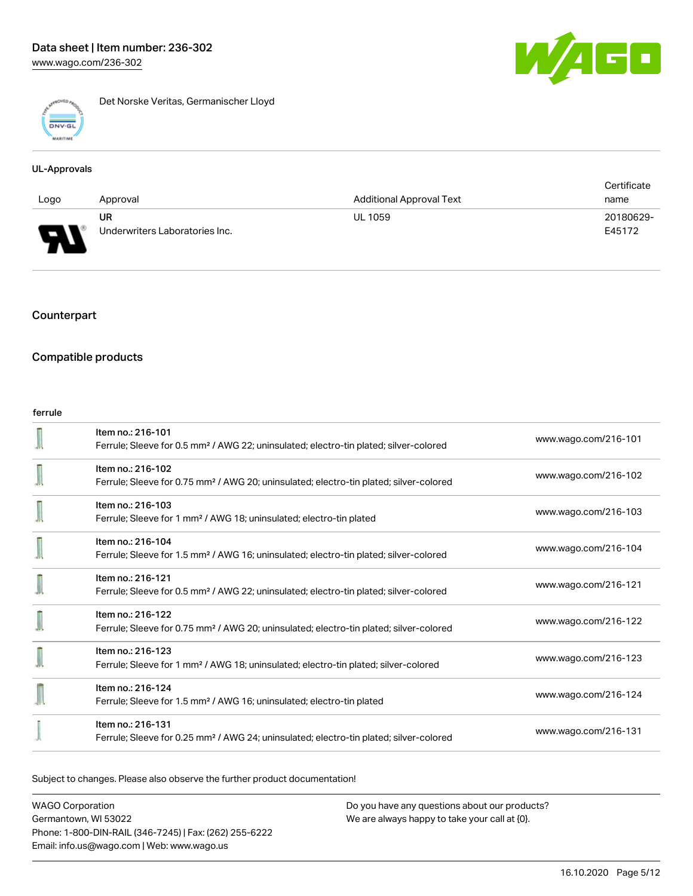

Det Norske Veritas, Germanischer Lloyd

#### UL-Approvals

|      |                                |                                 | Certificate |
|------|--------------------------------|---------------------------------|-------------|
| Logo | Approval                       | <b>Additional Approval Text</b> | name        |
|      | UR                             | <b>UL 1059</b>                  | 20180629-   |
| J    | Underwriters Laboratories Inc. |                                 | E45172      |

### Counterpart

### Compatible products

#### ferrule

| Item no.: 216-101<br>Ferrule; Sleeve for 0.5 mm <sup>2</sup> / AWG 22; uninsulated; electro-tin plated; silver-colored  | www.wago.com/216-101 |
|-------------------------------------------------------------------------------------------------------------------------|----------------------|
| Item no.: 216-102<br>Ferrule; Sleeve for 0.75 mm <sup>2</sup> / AWG 20; uninsulated; electro-tin plated; silver-colored | www.wago.com/216-102 |
| Item no.: 216-103<br>Ferrule; Sleeve for 1 mm <sup>2</sup> / AWG 18; uninsulated; electro-tin plated                    | www.wago.com/216-103 |
| Item no.: 216-104<br>Ferrule; Sleeve for 1.5 mm <sup>2</sup> / AWG 16; uninsulated; electro-tin plated; silver-colored  | www.wago.com/216-104 |
| Item no.: 216-121<br>Ferrule; Sleeve for 0.5 mm <sup>2</sup> / AWG 22; uninsulated; electro-tin plated; silver-colored  | www.wago.com/216-121 |
| Item no.: 216-122<br>Ferrule; Sleeve for 0.75 mm <sup>2</sup> / AWG 20; uninsulated; electro-tin plated; silver-colored | www.wago.com/216-122 |
| Item no.: 216-123<br>Ferrule; Sleeve for 1 mm <sup>2</sup> / AWG 18; uninsulated; electro-tin plated; silver-colored    | www.wago.com/216-123 |
| Item no.: 216-124<br>Ferrule; Sleeve for 1.5 mm <sup>2</sup> / AWG 16; uninsulated; electro-tin plated                  | www.wago.com/216-124 |
| Item no.: 216-131<br>Ferrule; Sleeve for 0.25 mm <sup>2</sup> / AWG 24; uninsulated; electro-tin plated; silver-colored | www.wago.com/216-131 |

Subject to changes. Please also observe the further product documentation!

WAGO Corporation Germantown, WI 53022 Phone: 1-800-DIN-RAIL (346-7245) | Fax: (262) 255-6222 Email: info.us@wago.com | Web: www.wago.us

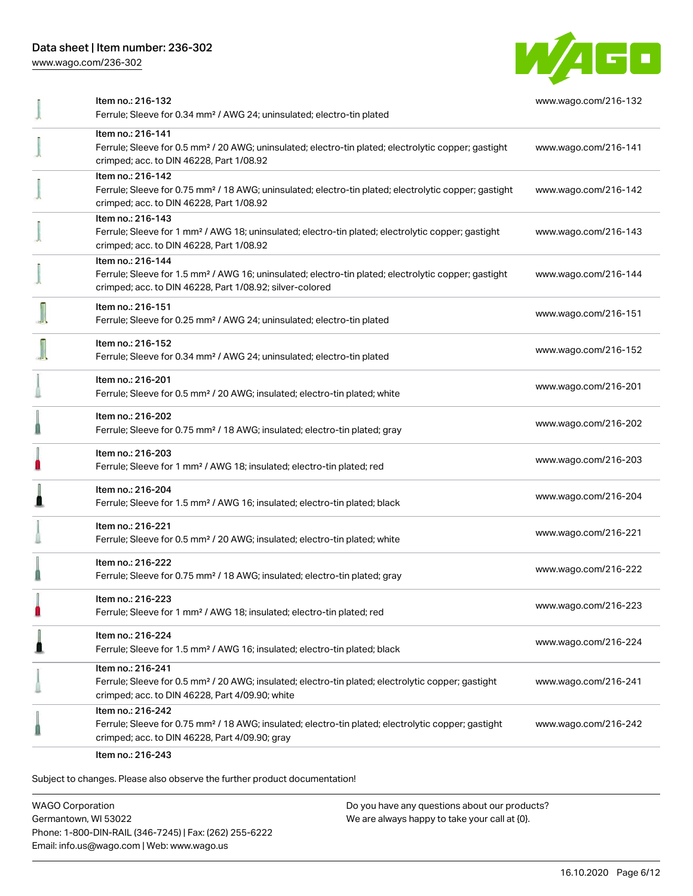[www.wago.com/236-302](http://www.wago.com/236-302)



| Item no.: 216-132<br>Ferrule; Sleeve for 0.34 mm <sup>2</sup> / AWG 24; uninsulated; electro-tin plated                                                                                           | www.wago.com/216-132 |
|---------------------------------------------------------------------------------------------------------------------------------------------------------------------------------------------------|----------------------|
| Item no.: 216-141<br>Ferrule; Sleeve for 0.5 mm <sup>2</sup> / 20 AWG; uninsulated; electro-tin plated; electrolytic copper; gastight<br>crimped; acc. to DIN 46228, Part 1/08.92                 | www.wago.com/216-141 |
| Item no.: 216-142<br>Ferrule; Sleeve for 0.75 mm <sup>2</sup> / 18 AWG; uninsulated; electro-tin plated; electrolytic copper; gastight<br>crimped; acc. to DIN 46228, Part 1/08.92                | www.wago.com/216-142 |
| Item no.: 216-143<br>Ferrule; Sleeve for 1 mm <sup>2</sup> / AWG 18; uninsulated; electro-tin plated; electrolytic copper; gastight<br>crimped; acc. to DIN 46228, Part 1/08.92                   | www.wago.com/216-143 |
| Item no.: 216-144<br>Ferrule; Sleeve for 1.5 mm <sup>2</sup> / AWG 16; uninsulated; electro-tin plated; electrolytic copper; gastight<br>crimped; acc. to DIN 46228, Part 1/08.92; silver-colored | www.wago.com/216-144 |
| Item no.: 216-151<br>Ferrule; Sleeve for 0.25 mm <sup>2</sup> / AWG 24; uninsulated; electro-tin plated                                                                                           | www.wago.com/216-151 |
| Item no.: 216-152<br>Ferrule; Sleeve for 0.34 mm <sup>2</sup> / AWG 24; uninsulated; electro-tin plated                                                                                           | www.wago.com/216-152 |
| Item no.: 216-201<br>Ferrule; Sleeve for 0.5 mm <sup>2</sup> / 20 AWG; insulated; electro-tin plated; white                                                                                       | www.wago.com/216-201 |
| Item no.: 216-202<br>Ferrule; Sleeve for 0.75 mm <sup>2</sup> / 18 AWG; insulated; electro-tin plated; gray                                                                                       | www.wago.com/216-202 |
| Item no.: 216-203<br>Ferrule; Sleeve for 1 mm <sup>2</sup> / AWG 18; insulated; electro-tin plated; red                                                                                           | www.wago.com/216-203 |
| Item no.: 216-204<br>Ferrule; Sleeve for 1.5 mm <sup>2</sup> / AWG 16; insulated; electro-tin plated; black                                                                                       | www.wago.com/216-204 |
| Item no.: 216-221<br>Ferrule; Sleeve for 0.5 mm <sup>2</sup> / 20 AWG; insulated; electro-tin plated; white                                                                                       | www.wago.com/216-221 |
| Item no.: 216-222<br>Ferrule; Sleeve for 0.75 mm <sup>2</sup> / 18 AWG; insulated; electro-tin plated; gray                                                                                       | www.wago.com/216-222 |
| Item no.: 216-223<br>Ferrule; Sleeve for 1 mm <sup>2</sup> / AWG 18; insulated; electro-tin plated; red                                                                                           | www.wago.com/216-223 |
| Item no.: 216-224<br>Ferrule; Sleeve for 1.5 mm <sup>2</sup> / AWG 16; insulated; electro-tin plated; black                                                                                       | www.wago.com/216-224 |
| Item no.: 216-241<br>Ferrule; Sleeve for 0.5 mm <sup>2</sup> / 20 AWG; insulated; electro-tin plated; electrolytic copper; gastight<br>crimped; acc. to DIN 46228, Part 4/09.90; white            | www.wago.com/216-241 |
| Item no.: 216-242<br>Ferrule; Sleeve for 0.75 mm <sup>2</sup> / 18 AWG; insulated; electro-tin plated; electrolytic copper; gastight<br>crimped; acc. to DIN 46228, Part 4/09.90; gray            | www.wago.com/216-242 |
|                                                                                                                                                                                                   |                      |

Item no.: 216-243

Subject to changes. Please also observe the further product documentation!

WAGO Corporation Germantown, WI 53022 Phone: 1-800-DIN-RAIL (346-7245) | Fax: (262) 255-6222 Email: info.us@wago.com | Web: www.wago.us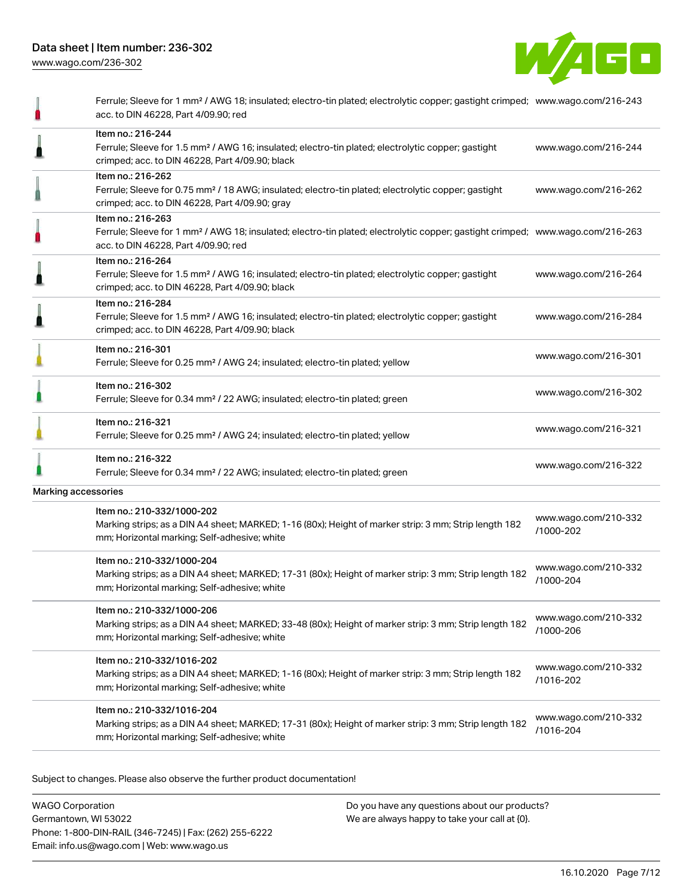

|                     | Ferrule; Sleeve for 1 mm <sup>2</sup> / AWG 18; insulated; electro-tin plated; electrolytic copper; gastight crimped; www.wago.com/216-243<br>acc. to DIN 46228, Part 4/09.90; red                      |                                   |
|---------------------|---------------------------------------------------------------------------------------------------------------------------------------------------------------------------------------------------------|-----------------------------------|
|                     | Item no.: 216-244<br>Ferrule; Sleeve for 1.5 mm <sup>2</sup> / AWG 16; insulated; electro-tin plated; electrolytic copper; gastight<br>crimped; acc. to DIN 46228, Part 4/09.90; black                  | www.wago.com/216-244              |
|                     | Item no.: 216-262<br>Ferrule; Sleeve for 0.75 mm <sup>2</sup> / 18 AWG; insulated; electro-tin plated; electrolytic copper; gastight<br>crimped; acc. to DIN 46228, Part 4/09.90; gray                  | www.wago.com/216-262              |
|                     | Item no.: 216-263<br>Ferrule; Sleeve for 1 mm <sup>2</sup> / AWG 18; insulated; electro-tin plated; electrolytic copper; gastight crimped; www.wago.com/216-263<br>acc. to DIN 46228, Part 4/09.90; red |                                   |
|                     | Item no.: 216-264<br>Ferrule; Sleeve for 1.5 mm <sup>2</sup> / AWG 16; insulated; electro-tin plated; electrolytic copper; gastight<br>crimped; acc. to DIN 46228, Part 4/09.90; black                  | www.wago.com/216-264              |
|                     | Item no.: 216-284<br>Ferrule; Sleeve for 1.5 mm <sup>2</sup> / AWG 16; insulated; electro-tin plated; electrolytic copper; gastight<br>crimped; acc. to DIN 46228, Part 4/09.90; black                  | www.wago.com/216-284              |
|                     | Item no.: 216-301<br>Ferrule; Sleeve for 0.25 mm <sup>2</sup> / AWG 24; insulated; electro-tin plated; yellow                                                                                           | www.wago.com/216-301              |
|                     | Item no.: 216-302<br>Ferrule; Sleeve for 0.34 mm <sup>2</sup> / 22 AWG; insulated; electro-tin plated; green                                                                                            | www.wago.com/216-302              |
|                     | Item no.: 216-321<br>Ferrule; Sleeve for 0.25 mm <sup>2</sup> / AWG 24; insulated; electro-tin plated; yellow                                                                                           | www.wago.com/216-321              |
|                     | Item no.: 216-322<br>Ferrule; Sleeve for 0.34 mm <sup>2</sup> / 22 AWG; insulated; electro-tin plated; green                                                                                            | www.wago.com/216-322              |
| Marking accessories |                                                                                                                                                                                                         |                                   |
|                     | Item no.: 210-332/1000-202<br>Marking strips; as a DIN A4 sheet; MARKED; 1-16 (80x); Height of marker strip: 3 mm; Strip length 182<br>mm; Horizontal marking; Self-adhesive; white                     | www.wago.com/210-332<br>/1000-202 |
|                     | Item no.: 210-332/1000-204<br>Marking strips; as a DIN A4 sheet; MARKED; 17-31 (80x); Height of marker strip: 3 mm; Strip length 182<br>mm; Horizontal marking; Self-adhesive; white                    | www.wago.com/210-332<br>/1000-204 |
|                     | Item no.: 210-332/1000-206<br>Marking strips; as a DIN A4 sheet; MARKED; 33-48 (80x); Height of marker strip: 3 mm; Strip length 182<br>mm; Horizontal marking; Self-adhesive; white                    | www.wago.com/210-332<br>/1000-206 |
|                     | Item no.: 210-332/1016-202<br>Marking strips; as a DIN A4 sheet; MARKED; 1-16 (80x); Height of marker strip: 3 mm; Strip length 182<br>mm; Horizontal marking; Self-adhesive; white                     | www.wago.com/210-332<br>/1016-202 |
|                     | Item no.: 210-332/1016-204<br>Marking strips; as a DIN A4 sheet; MARKED; 17-31 (80x); Height of marker strip: 3 mm; Strip length 182<br>mm; Horizontal marking; Self-adhesive; white                    | www.wago.com/210-332<br>/1016-204 |

Subject to changes. Please also observe the further product documentation!

WAGO Corporation Germantown, WI 53022 Phone: 1-800-DIN-RAIL (346-7245) | Fax: (262) 255-6222 Email: info.us@wago.com | Web: www.wago.us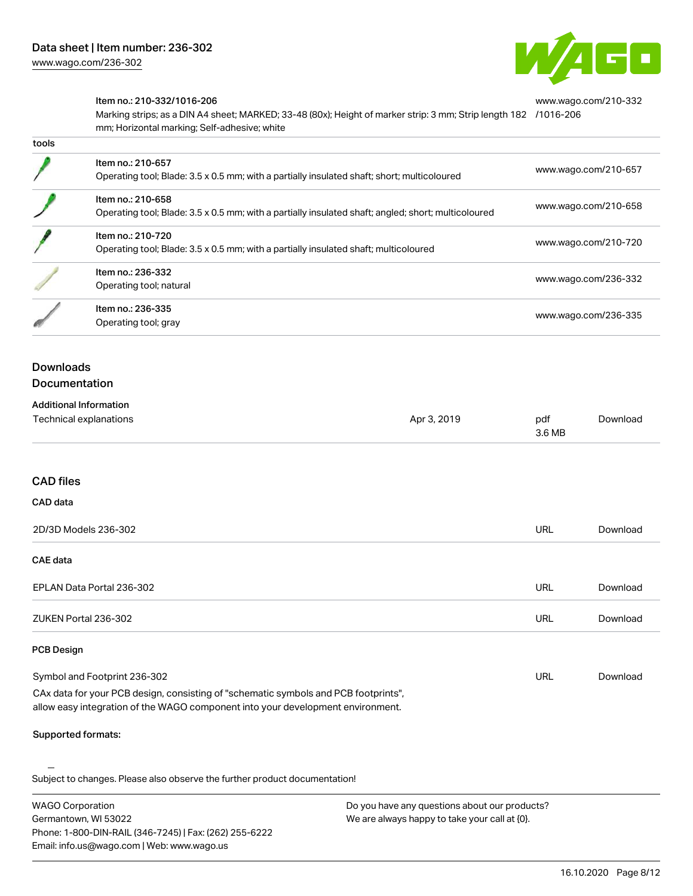

[www.wago.com/210-332](http://www.wago.com/210-332/1016-206)

#### Item no.: 210-332/1016-206

Marking strips; as a DIN A4 sheet; MARKED; 33-48 (80x); Height of marker strip: 3 mm; Strip length 182 [/1016-206](http://www.wago.com/210-332/1016-206) mm; Horizontal marking; Self-adhesive; white

| เบบเจ |                                                                                                                          |                      |
|-------|--------------------------------------------------------------------------------------------------------------------------|----------------------|
|       | Item no.: 210-657<br>Operating tool; Blade: 3.5 x 0.5 mm; with a partially insulated shaft; short; multicoloured         | www.wago.com/210-657 |
|       | Item no.: 210-658<br>Operating tool; Blade: 3.5 x 0.5 mm; with a partially insulated shaft; angled; short; multicoloured | www.wago.com/210-658 |
|       | Item no.: 210-720<br>Operating tool; Blade: 3.5 x 0.5 mm; with a partially insulated shaft; multicoloured                | www.wago.com/210-720 |
|       | Item no.: 236-332<br>Operating tool; natural                                                                             | www.wago.com/236-332 |
|       | Item no.: 236-335<br>Operating tool; gray                                                                                | www.wago.com/236-335 |

# Downloads

tools

#### Documentation

| <b>Additional Information</b> |             |        |          |
|-------------------------------|-------------|--------|----------|
| Technical explanations        | Apr 3, 2019 | pdf    | Download |
|                               |             | 3.6 MB |          |

#### CAD files

| CAD data                  |            |          |
|---------------------------|------------|----------|
| 2D/3D Models 236-302      | <b>URL</b> | Download |
| <b>CAE data</b>           |            |          |
| EPLAN Data Portal 236-302 | URL        | Download |
| ZUKEN Portal 236-302      | URL        | Download |
| <b>PCB Design</b>         |            |          |

#### Symbol and Footprint 236-302 CAx data for your PCB design, consisting of "schematic symbols and PCB footprints", URL [Download](https://www.wago.com/us/d/UltraLibrarian_URLS_236-302)

allow easy integration of the WAGO component into your development environment.

#### Supported formats:

Subject to changes. Please also observe the further product documentation!

WAGO Corporation Germantown, WI 53022 Phone: 1-800-DIN-RAIL (346-7245) | Fax: (262) 255-6222 Email: info.us@wago.com | Web: www.wago.us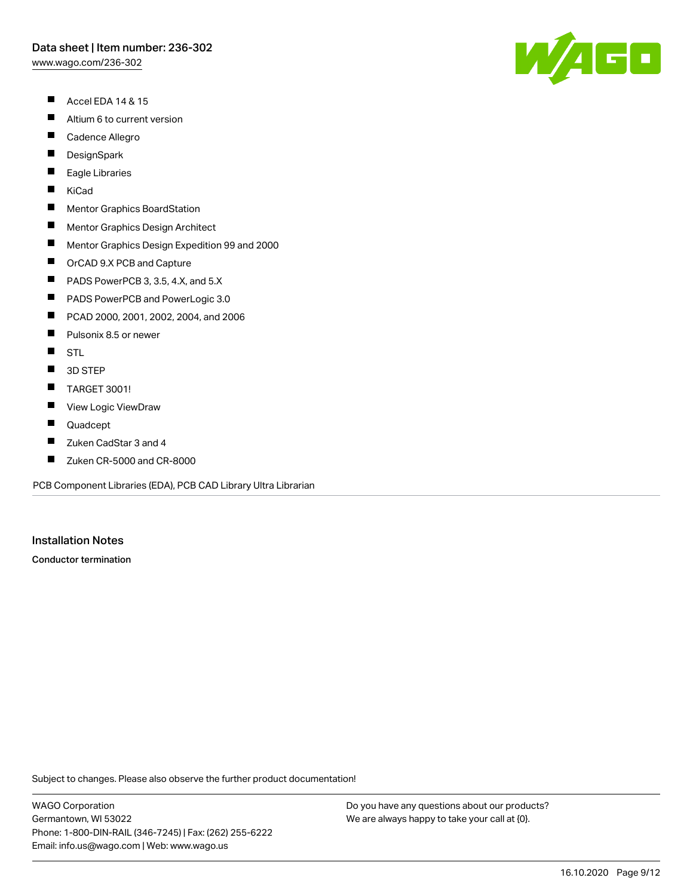[www.wago.com/236-302](http://www.wago.com/236-302)

- $\blacksquare$ Accel EDA 14 & 15
- $\blacksquare$ Altium 6 to current version
- $\blacksquare$ Cadence Allegro
- $\blacksquare$ **DesignSpark**
- П Eagle Libraries
- $\blacksquare$ KiCad
- $\blacksquare$ Mentor Graphics BoardStation
- $\blacksquare$ Mentor Graphics Design Architect
- $\blacksquare$ Mentor Graphics Design Expedition 99 and 2000
- $\blacksquare$ OrCAD 9.X PCB and Capture
- $\blacksquare$ PADS PowerPCB 3, 3.5, 4.X, and 5.X
- $\blacksquare$ PADS PowerPCB and PowerLogic 3.0
- $\blacksquare$ PCAD 2000, 2001, 2002, 2004, and 2006
- $\blacksquare$ Pulsonix 8.5 or newer
- $\blacksquare$ **STL**
- $\blacksquare$ 3D STEP
- $\blacksquare$ TARGET 3001!
- $\blacksquare$ View Logic ViewDraw
- $\blacksquare$ Quadcept
- П Zuken CadStar 3 and 4
- $\blacksquare$ Zuken CR-5000 and CR-8000

PCB Component Libraries (EDA), PCB CAD Library Ultra Librarian

#### Installation Notes

Conductor termination

Subject to changes. Please also observe the further product documentation!

WAGO Corporation Germantown, WI 53022 Phone: 1-800-DIN-RAIL (346-7245) | Fax: (262) 255-6222 Email: info.us@wago.com | Web: www.wago.us

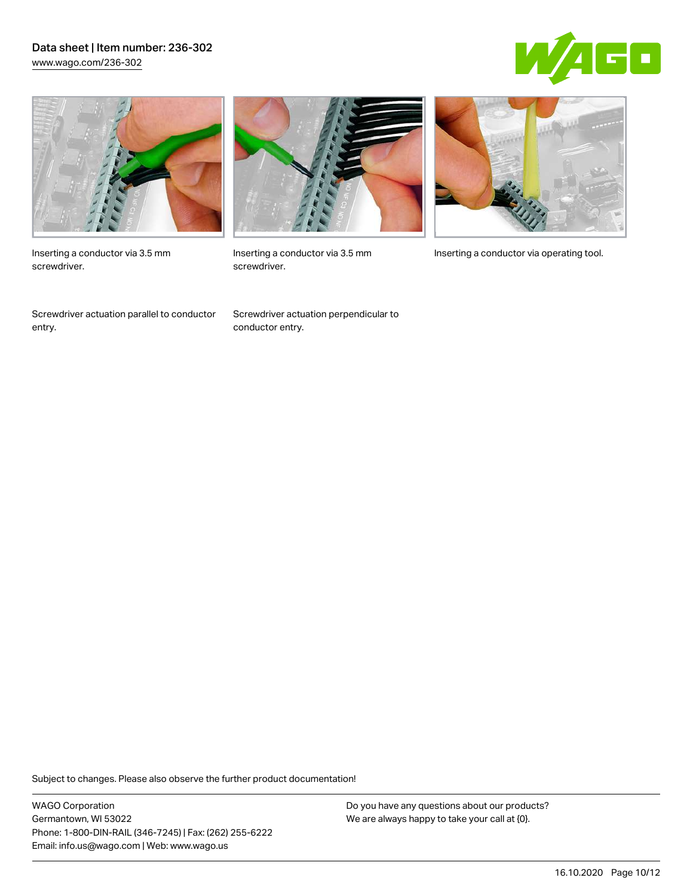### Data sheet | Item number: 236-302 [www.wago.com/236-302](http://www.wago.com/236-302)





Inserting a conductor via 3.5 mm screwdriver.

Screwdriver actuation parallel to conductor entry.



screwdriver.

Screwdriver actuation perpendicular to conductor entry.



Inserting a conductor via 3.5 mm Inserting a conductor via operating tool.

Subject to changes. Please also observe the further product documentation!

WAGO Corporation Germantown, WI 53022 Phone: 1-800-DIN-RAIL (346-7245) | Fax: (262) 255-6222 Email: info.us@wago.com | Web: www.wago.us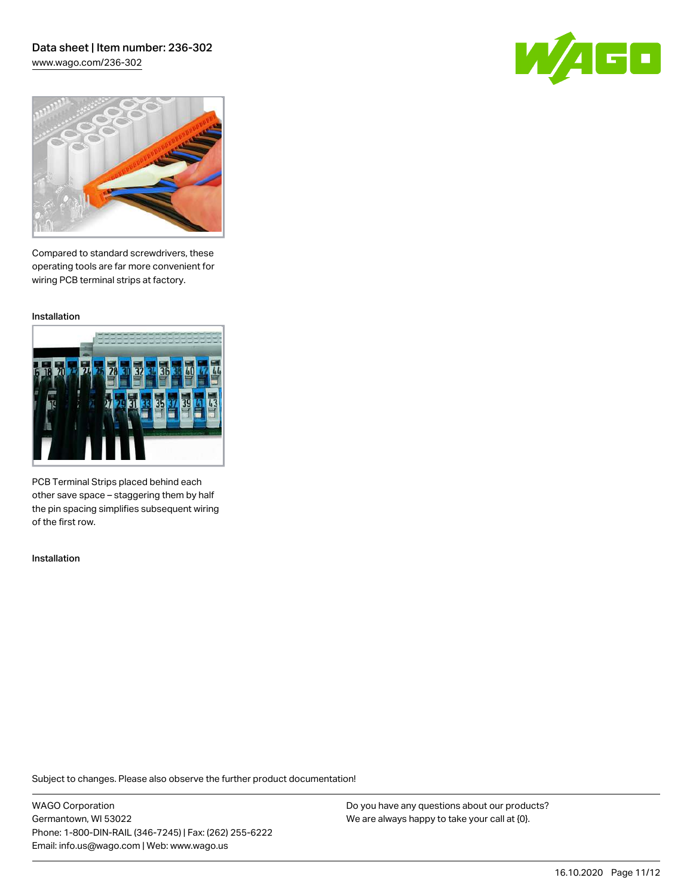### Data sheet | Item number: 236-302 [www.wago.com/236-302](http://www.wago.com/236-302)

GO



Compared to standard screwdrivers, these operating tools are far more convenient for wiring PCB terminal strips at factory.

Installation



PCB Terminal Strips placed behind each other save space – staggering them by half the pin spacing simplifies subsequent wiring of the first row.

Installation

Subject to changes. Please also observe the further product documentation!

WAGO Corporation Germantown, WI 53022 Phone: 1-800-DIN-RAIL (346-7245) | Fax: (262) 255-6222 Email: info.us@wago.com | Web: www.wago.us